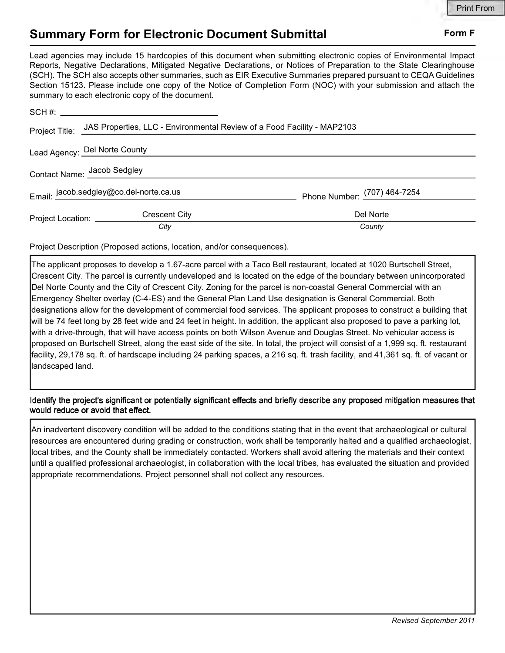## Summary Form for Electronic Document Submittal Form F

Lead agencies may include 15 hardcopies of this document when submitting electronic copies of Environmental Impact Reports, Negative Declarations, Mitigated Negative Declarations, or Notices of Preparation to the State Clearinghouse (SCH). The SCH also accepts other summaries, such as EIR Executive Summaries prepared pursuant to CEQA Guidelines Section 15123. Please include one copy of the Notice of Completion Form (NOC) with your submission and attach the summary to each electronic copy of the document.

|                                         | Project Title: JAS Properties, LLC - Environmental Review of a Food Facility - MAP2103 |                              |
|-----------------------------------------|----------------------------------------------------------------------------------------|------------------------------|
| Lead Agency: Del Norte County           |                                                                                        |                              |
|                                         | Contact Name: Jacob Sedgley                                                            |                              |
| Email: jacob.sedgley@co.del-norte.ca.us |                                                                                        | Phone Number: (707) 464-7254 |
| Project Location: __________            | <b>Crescent City</b>                                                                   | Del Norte                    |
|                                         | City                                                                                   | County                       |

Project Description (Proposed actions, location, and/or consequences).

The applicant proposes to develop a 1.67-acre parcel with a Taco Bell restaurant, located at 1020 Burtschell Street, Crescent City. The parcel is currently undeveloped and is located on the edge of the boundary between unincorporated Del Norte County and the City of Crescent City. Zoning for the parcel is non-coastal General Commercial with an Emergency Shelter overlay (C-4-ES) and the General Plan Land Use designation is General Commercial. Both designations allow for the development of commercial food services. The applicant proposes to construct a building that will be 74 feet long by 28 feet wide and 24 feet in height. In addition, the applicant also proposed to pave a parking lot, with a drive-through, that will have access points on both Wilson Avenue and Douglas Street. No vehicular access is proposed on Burtschell Street, along the east side of the site. In total, the project will consist of a 1,999 sq. ft. restaurant facility, 29,178 sq. ft. of hardscape including 24 parking spaces, a 216 sq. ft. trash facility, and 41,361 sq. ft. of vacant or landscaped land.

Identify the project's significant or potentially significant effects and briefly describe any proposed mitigation measures that would reduce or avoid that effect.

An inadvertent discovery condition will be added to the conditions stating that in the event that archaeological or cultural resources are encountered during grading or construction, work shall be temporarily halted and a qualified archaeologist, local tribes, and the County shall be immediately contacted. Workers shall avoid altering the materials and their context until a qualified professional archaeologist, in collaboration with the local tribes, has evaluated the situation and provided appropriate recommendations. Project personnel shall not collect any resources.